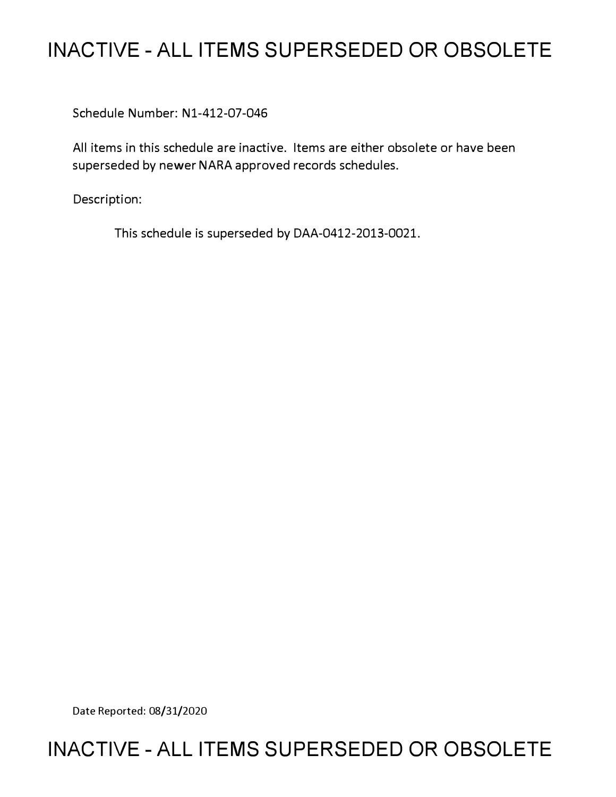## **INACTIVE - ALL ITEMS SUPERSEDED OR OBSOLETE**

Schedule Number: Nl-412-07-046

All items in this schedule are inactive. Items are either obsolete or have been superseded by newer NARA approved records schedules.

Description:

This schedule is superseded by DAA-0412-2013-0021.

Date Reported: 08/31/2020

## **INACTIVE - ALL ITEMS SUPERSEDED OR OBSOLETE**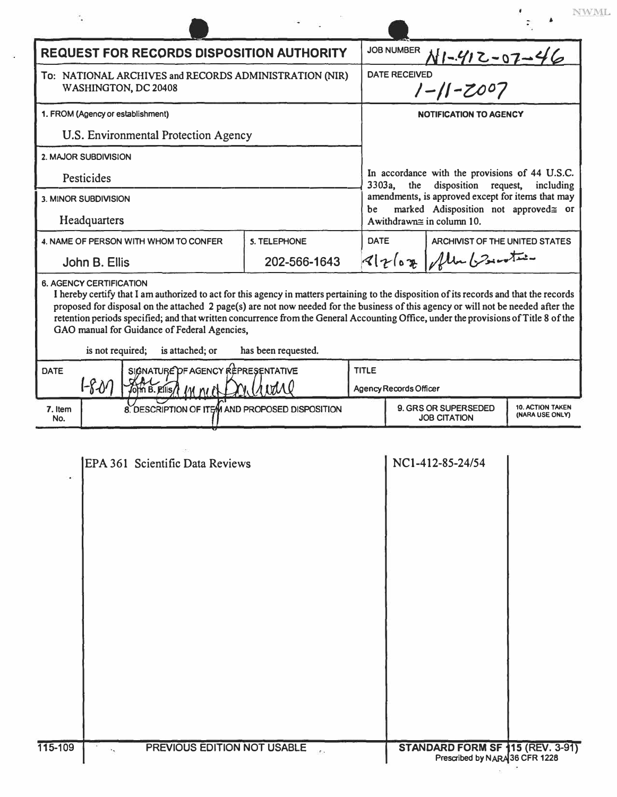|                                                                                | <b>REQUEST FOR RECORDS DISPOSITION AUTHORITY</b>                                                                                                                                                                                                                                                                                                                                                                                                                                                               |                     |              | <b>JOB NUMBER</b><br>$N1 - 412 - 07 - 46$                                                                  |                                             |                                            |
|--------------------------------------------------------------------------------|----------------------------------------------------------------------------------------------------------------------------------------------------------------------------------------------------------------------------------------------------------------------------------------------------------------------------------------------------------------------------------------------------------------------------------------------------------------------------------------------------------------|---------------------|--------------|------------------------------------------------------------------------------------------------------------|---------------------------------------------|--------------------------------------------|
| To: NATIONAL ARCHIVES and RECORDS ADMINISTRATION (NIR)<br>WASHINGTON, DC 20408 |                                                                                                                                                                                                                                                                                                                                                                                                                                                                                                                |                     |              | <b>DATE RECEIVED</b><br>$1 - 11 - 2007$                                                                    |                                             |                                            |
| 1. FROM (Agency or establishment)                                              |                                                                                                                                                                                                                                                                                                                                                                                                                                                                                                                |                     |              | NOTIFICATION TO AGENCY                                                                                     |                                             |                                            |
| U.S. Environmental Protection Agency                                           |                                                                                                                                                                                                                                                                                                                                                                                                                                                                                                                |                     |              |                                                                                                            |                                             |                                            |
| 2. MAJOR SUBDIVISION                                                           |                                                                                                                                                                                                                                                                                                                                                                                                                                                                                                                |                     |              |                                                                                                            |                                             |                                            |
| Pesticides                                                                     |                                                                                                                                                                                                                                                                                                                                                                                                                                                                                                                |                     |              | In accordance with the provisions of 44 U.S.C.<br>disposition<br>$3303a$ ,<br>the<br>request,<br>including |                                             |                                            |
| 3. MINOR SUBDIVISION                                                           |                                                                                                                                                                                                                                                                                                                                                                                                                                                                                                                |                     | be           | amendments, is approved except for items that may<br>marked Adisposition not approved≅ or                  |                                             |                                            |
| Headquarters                                                                   |                                                                                                                                                                                                                                                                                                                                                                                                                                                                                                                |                     |              |                                                                                                            | Awithdrawn≅ in column 10.                   |                                            |
| 4. NAME OF PERSON WITH WHOM TO CONFER                                          |                                                                                                                                                                                                                                                                                                                                                                                                                                                                                                                | <b>S. TELEPHONE</b> | <b>DATE</b>  |                                                                                                            | ARCHIVIST OF THE UNITED STATES              |                                            |
| John B. Ellis                                                                  |                                                                                                                                                                                                                                                                                                                                                                                                                                                                                                                | 202-566-1643        |              |                                                                                                            | $1262$ ) flow breaking                      |                                            |
| <b>6. AGENCY CERTIFICATION</b>                                                 | I hereby certify that I am authorized to act for this agency in matters pertaining to the disposition of its records and that the records<br>proposed for disposal on the attached 2 page(s) are not now needed for the business of this agency or will not be needed after the<br>retention periods specified; and that written concurrence from the General Accounting Office, under the provisions of Title 8 of the<br>GAO manual for Guidance of Federal Agencies,<br>is not required;<br>is attached; or | has been requested. |              |                                                                                                            |                                             |                                            |
| <b>DATE</b><br>$-F\rightarrow$                                                 | SIGNATURE OF AGENCY REPRESENTATIVE                                                                                                                                                                                                                                                                                                                                                                                                                                                                             |                     | <b>TITLE</b> |                                                                                                            |                                             |                                            |
| 7. Item                                                                        | of $h$ B. Ellis/ $\ell$ M $n \ell$<br>8. DESCRIPTION OF ITEM AND PROPOSED DISPOSITION                                                                                                                                                                                                                                                                                                                                                                                                                          | IMY                 |              | Agency Records Officer                                                                                     | 9. GRS OR SUPERSEDED<br><b>JOB CITATION</b> | <b>10. ACTION TAKEN</b><br>(NARA USE ONLY) |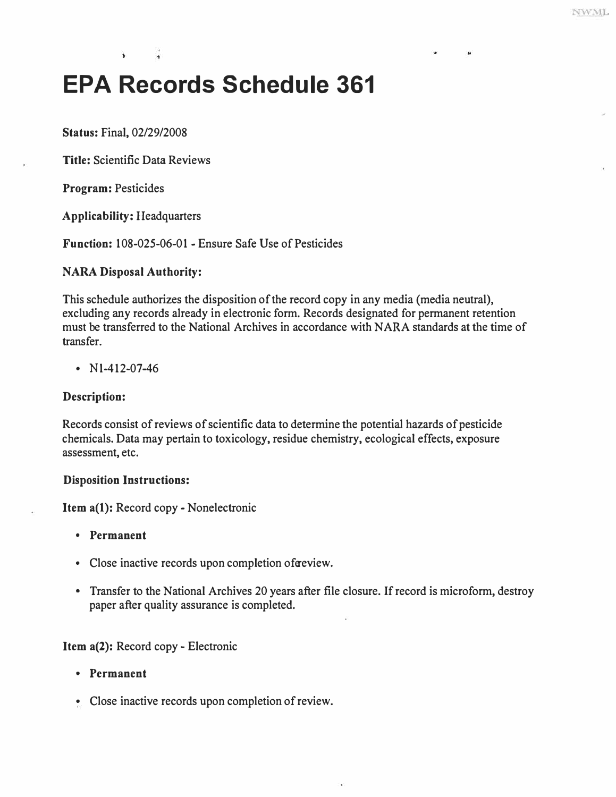# **EPA Records Schedule 361**

**Status:** Final, 02/29/2008

 $\mathbf{A}$ 

**Title:** Scientific Data Reviews

**Program:** Pesticides

**Applicability:** Headquarters

**Function:** 1 08-025-06-01 - Ensure Safe Use of Pesticides

#### **NARA Disposal Authority:**

This schedule authorizes the disposition of the record copy in any media (media neutral), excluding any records already in electronic form. Records designated for permanent retention must be transferred to the National Archives in accordance with NARA standards at the time of transfer.

•  $N1-412-07-46$ 

#### **Description:**

Records consist of reviews of scientific data to determine the potential hazards of pesticide chemicals. Data may pertain to toxicology, residue chemistry, ecological effects, exposure assessment, etc.

#### **Disposition Instructions:**

**Item a(l):** Record copy- Nonelectronic

- **Permanent**
- Close inactive records upon completion ofereview.
- Transfer to the National Archives 20 years after file closure. If record is microform, destroy paper after quality assurance is completed.

**Item a(2):** Record copy - Electronic

- **Permanent**
- Close inactive records upon completion of review.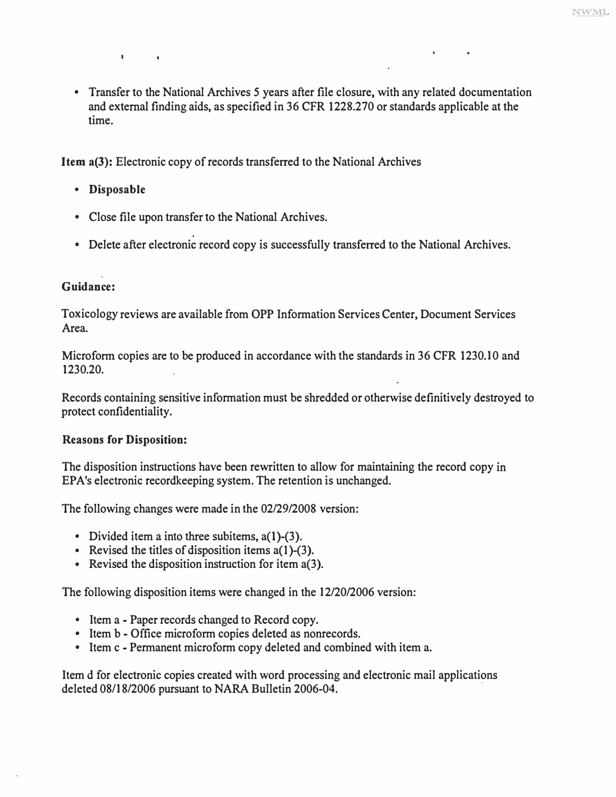**• Transfer to the National Archives** *5* **years after file closure, with any related documentation and external finding aids, as specified in 36 CFR 1228.270 or standards applicable at the time.** 

**Item a(3): Electronic copy of records transferred to the National Archives** 

**• Disposable** 

 $\mathbf x = \mathbf x$ 

- **Close file upon transfer to the National Archives.**
- **Delete after electronic record copy is successfully transferred to the National Archives.**

#### **Guidance:**

**Toxicology reviews are available from OPP Information Services Center, Document Services Area.** 

**Microform copies are to be produced in accordance with the standards in 36 CFR 1230.10 and 1230.20.** 

**Records containing sensitive information must be shredded or otherwise definitively destroyed to protect confidentiality.** 

#### **Reasons for Disposition:**

**The disposition instructions have been rewritten to allow for maintaining the record copy in**  EPA's electronic recordkeeping system. The retention is unchanged.

**The following changes were made in the 02/29/2008 version:** 

- 
- **Divided item a into three subitems, a(l)-(3). Revised the titles of disposition items a(I )-(3). Revised the disposition instruction for item a(3).**
- 

**The following disposition items were changed in the 12/20/2006 version:** 

- 
- 
- **Item a - Paper records changed to Record copy. Item b - Office microform copies deleted as nonrecords. Item c Permanent microform copy deleted and combined with item a.**

**Item d for electronic copies created with word processing and electronic mail applications deleted 08/18/2006 pursuant to NARA Bulletin 2006-04.**